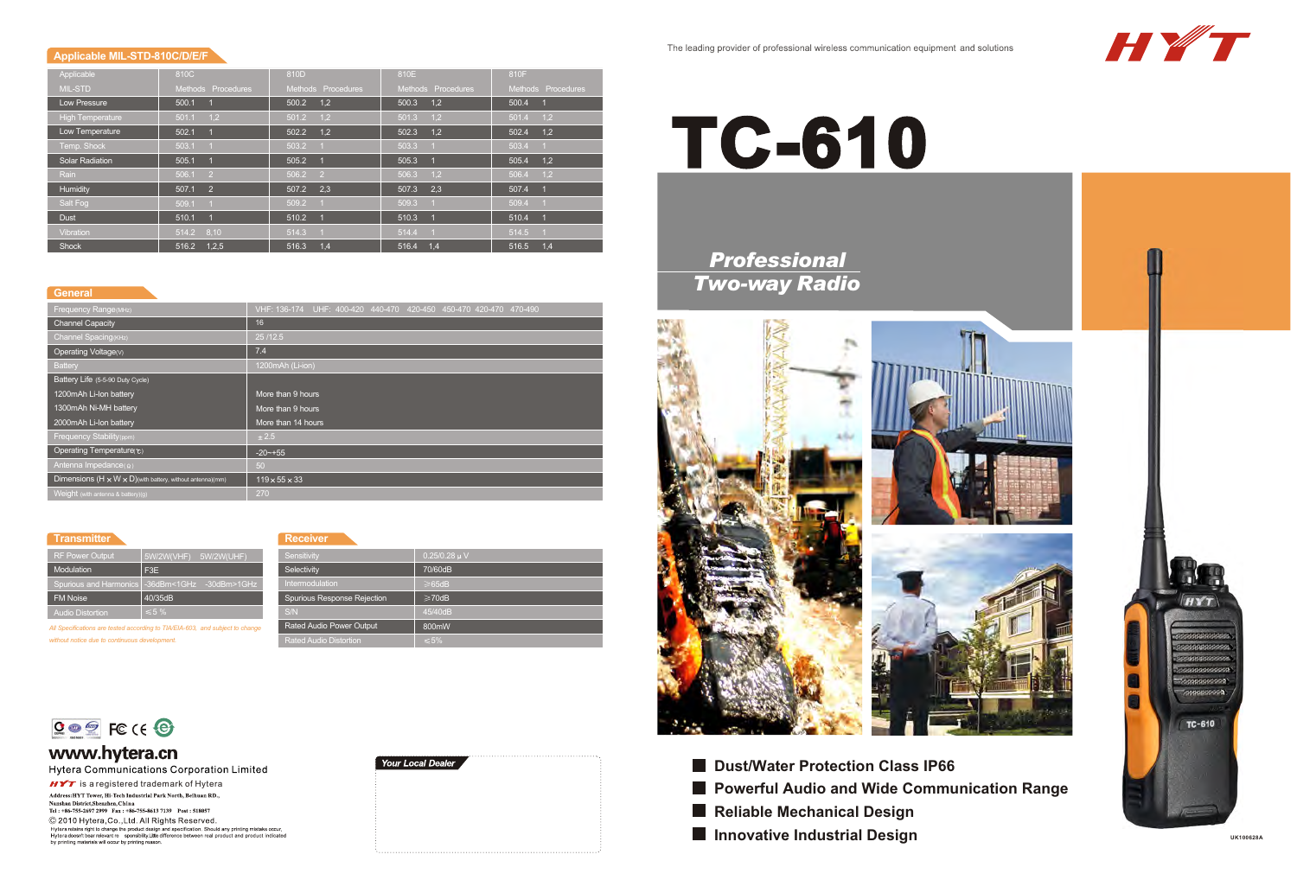# **TC-610**



**Reliable Mechanical Design**  $\blacksquare$  **Innovative Industrial Design** 

## **Applicable MIL-STD-810C/D/E/F**

**Sensitivity Selectivity** Intermodulation

| Applicable              | 810C                    | 810D                    | 810E                    | 810F                      |
|-------------------------|-------------------------|-------------------------|-------------------------|---------------------------|
| <b>MIL-STD</b>          | Methods Procedures      | Methods Procedures      | Methods Procedures      | Methods Procedures        |
| Low Pressure            | 500.1                   | 1,2<br>500.2            | 1,2<br>500.3            | 500.4                     |
| <b>High Temperature</b> | 1,2<br>501.1            | 501.2<br>1,2            | 1,2<br>501.3            | 501.4<br>1,2              |
| Low Temperature         | 502.1                   | 1.2<br>502.2            | 1.2<br>502.3            | 1,2<br>502.4              |
| Temp. Shock             | 503.1<br>$\overline{1}$ | 503.2                   | 503.3                   | 503.4                     |
| <b>Solar Radiation</b>  | 505.1<br>$\overline{1}$ | 505.2                   | 505.3<br>- GP           | 1,2<br>505.4              |
| Rain                    | 506.1<br>$\overline{2}$ | 506.2<br>$\overline{2}$ | 1,2<br>506.3            | 1.2<br>506.4              |
| Humidity                | 2<br>507.1              | 2,3<br>507.2            | 2,3<br>507.3            | 507.4                     |
| Salt Fog                | 509.1<br>$\overline{1}$ | 509.2                   | 509.3<br>$\overline{1}$ | 509.4<br>$\blacksquare$ 1 |
| <b>Dust</b>             | 510.1                   | 510.2                   | 510.3<br><b>SP</b>      | 510.4                     |
| Vibration               | 8,10<br>514.2           | 514.3                   | 514.4                   | 514.5                     |
| <b>Shock</b>            | 1,2,5<br>516.2          | 516.3<br>1.4            | 516.4<br>1,4            | 516.5<br>1,4              |

## The leading provider of professional wireless communication equipment and solutions

 $0.25/0.28$  u V 70/60dB 65dB  $\geq$ 70dB 45/40dB 800mW



## **Transmitter**

## **Receiver**

Spurious Response Rejection

S/N

Rated Audio Power Output Rated Audio Distortion

*All Specifications are tested according to TIA/EIA-603, and subject to change without notice due to continuous development.*



# www.hytera.cn

Hytera Communications Corporation Limited

 $H \times T$  is a registered trademark of Hytera Address: HYT Tower, Hi-Tech Industrial Park North, Beihuan RD., Nanshan District, Shenzhen, China<br>Tel : +86-755-2697 2999 Fax : +86-755-8613 7139 Post : 518057 © 2010 Hytera, Co., Ltd. All Rights Reserved. Hyteraretains right to change the product design and specification. Should any printing mistake occur,<br>Hyterardoesn't bear relevant re sponsibility.Little difference between real product and product indicated<br>by printing m



| <b>RF Power Output</b>  | 5W/2W(VHF) 5W/2W(UHF)                            |
|-------------------------|--------------------------------------------------|
| Modulation              | F <sub>3</sub> E                                 |
|                         | Spurious and Harmonics   -36dBm<1GHz -30dBm>1GHz |
| <b>FM Noise</b>         | 40/35dB                                          |
| <b>Audio Distortion</b> | √ 5≶ ≫                                           |

## **General**

| <b>Frequency Range(MHz)</b>                                            | VHF: 136-174 UHF: 400-420 440-470 420-450 450-470 420-470 470-490 |
|------------------------------------------------------------------------|-------------------------------------------------------------------|
| <b>Channel Capacity</b>                                                | 16                                                                |
| Channel Spacing (KHz)                                                  | 25/12.5                                                           |
| Operating Voltage(V)                                                   | 7.4                                                               |
| <b>Battery</b>                                                         | 1200mAh (Li-ion)                                                  |
| Battery Life (5-5-90 Duty Cycle)                                       |                                                                   |
| 1200mAh Li-Ion battery                                                 | More than 9 hours                                                 |
| 1300mAh Ni-MH battery                                                  | More than 9 hours                                                 |
| 2000mAh Li-Ion battery                                                 | More than 14 hours                                                |
| Frequency Stability (ppm)                                              | ± 2.5                                                             |
| Operating Temperature(°C)                                              | $-20$ $-+55$                                                      |
| Antenna Impedance( $\Omega$ )                                          | 50                                                                |
| Dimensions $(H \times W \times D)$ with battery, without antenna) (mm) | $119 \times 55 \times 33$                                         |
| Weight (with antenna & battery)(g)                                     | 270                                                               |